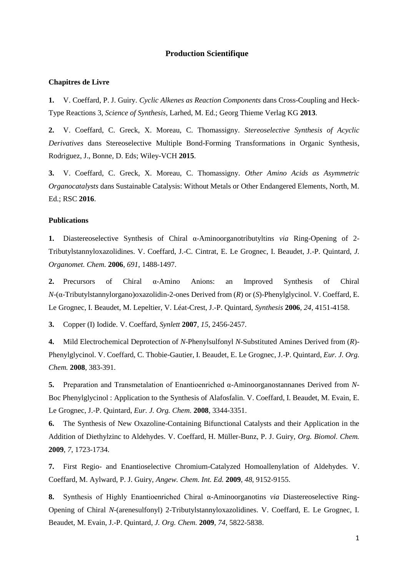## **Production Scientifique**

## **Chapitres de Livre**

**1.** V. Coeffard, P. J. Guiry. *Cyclic Alkenes as Reaction Components* dans Cross-Coupling and Heck-Type Reactions 3, *Science of Synthesis*, Larhed, M. Ed.; Georg Thieme Verlag KG **2013**.

**2.** V. Coeffard, C. Greck, X. Moreau, C. Thomassigny. *Stereoselective Synthesis of Acyclic Derivatives* dans Stereoselective Multiple Bond-Forming Transformations in Organic Synthesis, Rodriguez, J., Bonne, D. Eds; Wiley-VCH **2015**.

**3.** V. Coeffard, C. Greck, X. Moreau, C. Thomassigny. *Other Amino Acids as Asymmetric Organocatalysts* dans Sustainable Catalysis: Without Metals or Other Endangered Elements, North, M. Ed.; RSC **2016**.

## **Publications**

**1.** Diastereoselective Synthesis of Chiral α-Aminoorganotributyltins *via* Ring-Opening of 2- Tributylstannyloxazolidines. V. Coeffard, J.-C. Cintrat, E. Le Grognec, I. Beaudet, J.-P. Quintard, *J. Organomet. Chem.* **2006***, 691*, 1488-1497.

**2.** Precursors of Chiral α-Amino Anions: an Improved Synthesis of Chiral *N*-(α-Tributylstannylorgano)oxazolidin-2-ones Derived from (*R*) or (*S*)-Phenylglycinol. V. Coeffard, E. Le Grognec, I. Beaudet, M. Lepeltier, V. Léat-Crest, J.-P. Quintard, *Synthesis* **2006***, 24*, 4151-4158.

**3.** Copper (I) Iodide. V. Coeffard, *Synlett* **2007**, *15*, 2456-2457.

**4.** Mild Electrochemical Deprotection of *N*-Phenylsulfonyl *N*-Substituted Amines Derived from (*R*)- Phenylglycinol. V. Coeffard, C. Thobie-Gautier, I. Beaudet, E. Le Grognec, J.-P. Quintard, *Eur. J. Org. Chem.* **2008**, 383-391.

**5.** Preparation and Transmetalation of Enantioenriched α-Aminoorganostannanes Derived from *N*-Boc Phenylglycinol : Application to the Synthesis of Alafosfalin. V. Coeffard, I. Beaudet, M. Evain, E. Le Grognec, J.-P. Quintard, *Eur. J. Org. Chem.* **2008**, 3344-3351.

**6.** The Synthesis of New Oxazoline-Containing Bifunctional Catalysts and their Application in the Addition of Diethylzinc to Aldehydes. V. Coeffard, H. Müller-Bunz, P. J. Guiry, *Org. Biomol. Chem.* **2009**, *7*, 1723-1734.

**7.** First Regio- and Enantioselective Chromium-Catalyzed Homoallenylation of Aldehydes. V. Coeffard, M. Aylward, P. J. Guiry, *Angew. Chem. Int. Ed.* **2009**, *48*, 9152-9155.

**8.** Synthesis of Highly Enantioenriched Chiral α-Aminoorganotins *via* Diastereoselective Ring-Opening of Chiral *N*-(arenesulfonyl) 2-Tributylstannyloxazolidines. V. Coeffard, E. Le Grognec, I. Beaudet, M. Evain, J.-P. Quintard, *J. Org. Chem.* **2009**, *74*, 5822-5838.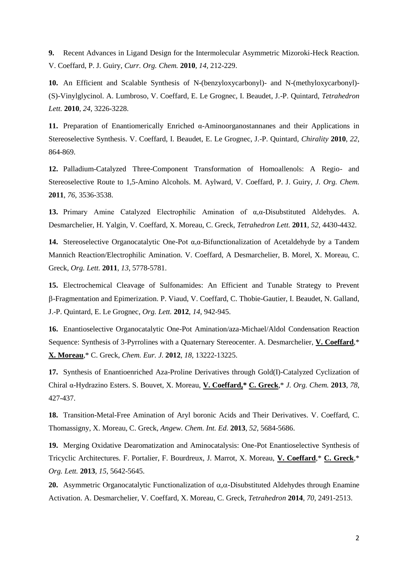**9.** Recent Advances in Ligand Design for the Intermolecular Asymmetric Mizoroki-Heck Reaction. V. Coeffard, P. J. Guiry, *Curr. Org. Chem.* **2010**, *14*, 212-229.

**10.** An Efficient and Scalable Synthesis of N-(benzyloxycarbonyl)- and N-(methyloxycarbonyl)- (S)-Vinylglycinol. A. Lumbroso, V. Coeffard, E. Le Grognec, I. Beaudet, J.-P. Quintard, *Tetrahedron Lett.* **2010**, *24*, 3226-3228.

**11.** Preparation of Enantiomerically Enriched α-Aminoorganostannanes and their Applications in Stereoselective Synthesis. V. Coeffard, I. Beaudet, E. Le Grognec, J.-P. Quintard, *Chirality* **2010**, *22*, 864-869.

**12.** Palladium-Catalyzed Three-Component Transformation of Homoallenols: A Regio- and Stereoselective Route to 1,5-Amino Alcohols. M. Aylward, V. Coeffard, P. J. Guiry, *J. Org. Chem.* **2011**, *76*, 3536-3538.

**13.** Primary Amine Catalyzed Electrophilic Amination of α,α-Disubstituted Aldehydes. A. Desmarchelier, H. Yalgin, V. Coeffard, X. Moreau, C. Greck, *Tetrahedron Lett.* **2011**, *52*, 4430-4432.

**14.** Stereoselective Organocatalytic One-Pot α,α-Bifunctionalization of Acetaldehyde by a Tandem Mannich Reaction/Electrophilic Amination. V. Coeffard, A Desmarchelier, B. Morel, X. Moreau, C. Greck, *Org. Lett.* **2011**, *13*, 5778-5781.

**15.** Electrochemical Cleavage of Sulfonamides: An Efficient and Tunable Strategy to Prevent -Fragmentation and Epimerization. P. Viaud, V. Coeffard, C. Thobie-Gautier, I. Beaudet, N. Galland, J.-P. Quintard, E. Le Grognec, *Org. Lett.* **2012**, *14*, 942-945.

**16.** Enantioselective Organocatalytic One-Pot Amination/aza-Michael/Aldol Condensation Reaction Sequence: Synthesis of 3-Pyrrolines with a Quaternary Stereocenter. A. Desmarchelier, **V. Coeffard**,\* **X. Moreau**,\* C. Greck, *Chem. Eur. J.* **2012**, *18*, 13222-13225.

**17.** Synthesis of Enantioenriched Aza-Proline Derivatives through Gold(I)-Catalyzed Cyclization of Chiral α-Hydrazino Esters. S. Bouvet, X. Moreau, **V. Coeffard,\* C. Greck**,\* *J. Org. Chem.* **2013**, *78*, 427-437.

**18.** Transition-Metal-Free Amination of Aryl boronic Acids and Their Derivatives. V. Coeffard, C. Thomassigny, X. Moreau, C. Greck, *Angew. Chem. Int. Ed.* **2013**, *52*, 5684-5686.

**19.** Merging Oxidative Dearomatization and Aminocatalysis: One-Pot Enantioselective Synthesis of Tricyclic Architectures*.* F. Portalier, F. Bourdreux, J. Marrot, X. Moreau, **V. Coeffard**,\* **C. Greck**,\* *Org. Lett.* **2013**, *15*, 5642-5645.

**20.** Asymmetric Organocatalytic Functionalization of  $\alpha, \alpha$ -Disubstituted Aldehydes through Enamine Activation. A. Desmarchelier, V. Coeffard, X. Moreau, C. Greck, *Tetrahedron* **2014**, *70*, 2491-2513.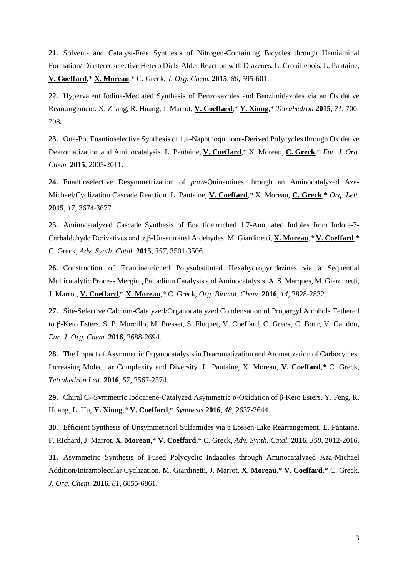**21.** Solvent- and Catalyst-Free Synthesis of Nitrogen-Containing Bicycles through Hemiaminal Formation/ Diastereoselective Hetero Diels-Alder Reaction with Diazenes. L. Crouillebois, L. Pantaine, **V. Coeffard**,\* **X. Moreau**,\* C. Greck, *J. Org. Chem.* **2015**, *80*, 595-601.

**22.** Hypervalent Iodine-Mediated Synthesis of Benzoxazoles and Benzimidazoles via an Oxidative Rearrangement. X. Zhang, R. Huang, J. Marrot, **V. Coeffard**,\* **Y. Xiong**,\* *Tetrahedron* **2015**, *71*, 700- 708.

**23.** One-Pot Enantioselective Synthesis of 1,4-Naphthoquinone-Derived Polycycles through Oxidative Dearomatization and Aminocatalysis. L. Pantaine, **V. Coeffard**,\* X. Moreau, **C. Greck**,\* *Eur. J. Org. Chem.* **2015**, 2005-2011.

**24.** Enantioselective Desymmetrization of *para*-Quinamines through an Aminocatalyzed Aza-Michael/Cyclization Cascade Reaction. L. Pantaine, **V. Coeffard**,\* X. Moreau, **C. Greck**,\* *Org. Lett.* **2015**, *17*, 3674-3677.

**25.** Aminocatalyzed Cascade Synthesis of Enantioenriched 1,7-Annulated Indoles from Indole-7- Carbaldehyde Derivatives and α,β-Unsaturated Aldehydes. M. Giardinetti, **X. Moreau**,\* **V. Coeffard**,\* C. Greck, *Adv. Synth. Catal.* **2015**, *357*, 3501-3506.

**26.** Construction of Enantioenriched Polysubstituted Hexahydropyridazines via a Sequential Multicatalytic Process Merging Palladium Catalysis and Aminocatalysis. A. S. Marques, M. Giardinetti, J. Marrot, **V. Coeffard**,\* **X. Moreau**,\* C. Greck, *Org. Biomol. Chem.* **2016**, *14*, 2828-2832.

**27.** Site-Selective Calcium-Catalyzed/Organocatalyzed Condensation of Propargyl Alcohols Tethered to β-Keto Esters. S. P. Morcillo, M. Presset, S. Floquet, V. Coeffard, C. Greck, C. Bour, V. Gandon, *Eur. J. Org. Chem.* **2016**, 2688-2694.

**28.** The Impact of Asymmetric Organocatalysis in Dearomatization and Aromatization of Carbocycles: Increasing Molecular Complexity and Diversity. L. Pantaine, X. Moreau, **V. Coeffard**,\* C. Greck, *Tetrahedron Lett.* **2016**, *57*, 2567-2574.

**29.** Chiral C2-Symmetric Iodoarene-Catalyzed Asymmetric α-Oxidation of β-Keto Esters. Y. Feng, R. Huang, L. Hu, **Y. Xiong**,\* **V. Coeffard**,\* *Synthesis* **2016**, *48*, 2637-2644.

**30.** Efficient Synthesis of Unsymmetrical Sulfamides via a Lossen-Like Rearrangement. L. Pantaine, F. Richard, J. Marrot, **X. Moreau**,\* **V. Coeffard**,\* C. Greck, *Adv. Synth. Catal.* **2016**, *358*, 2012-2016.

**31.** Asymmetric Synthesis of Fused Polycyclic Indazoles through Aminocatalyzed Aza-Michael Addition/Intramolecular Cyclization. M. Giardinetti, J. Marrot, **X. Moreau**,\* **V. Coeffard**,\* C. Greck, *J. Org. Chem.* **2016**, *81*, 6855-6861.